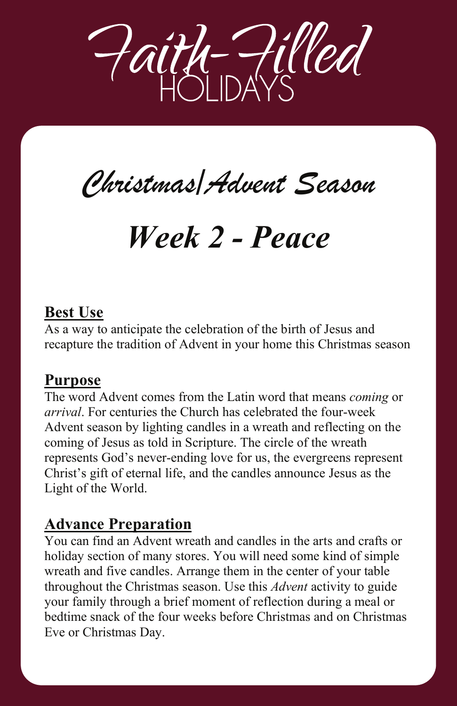

# *Christmas/Advent Season Christmas/Advent Season*

# *Week 2 - Peace Week 2 - Peace*

## **Best Use**

As a way to anticipate the celebration of the birth of Jesus and recapture the tradition of Advent in your home this Christmas season

As a way to anticipate the celebration of the birth of Jesus and

The word Advent comes from the Latin word that means *coming* or

#### **Purpose**

The word Advent comes from the Latin word that means *coming* or *arrival*. For centuries the Church has celebrated the four-week Advent season by lighting candles in a wreath and reflecting on the coming of Jesus as told in Scripture. The circle of the wreath represents God's never-ending love for us, the evergreens represent Christ's gift of eternal life, and the candles announce Jesus as the Light of the World.

### **Advance Preparation You can find an Advance Preparation**

You can find an Advent wreath and candles in the arts and crafts or holiday section of many stores. You will need some kind of simple wreath and five candles. Arrange them in the center of your table throughout the Christmas season. Use this *Advent* activity to guide your family through a brief moment of reflection during a meal or bedtime snack of the four weeks before Christmas and on Christmas Eve or Christmas Day.